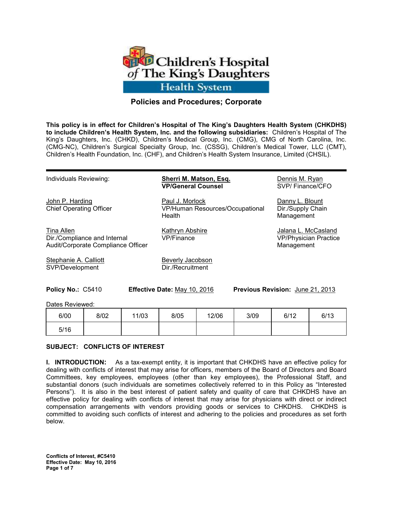

# **Policies and Procedures; Corporate**

**This policy is in effect for Children's Hospital of The King's Daughters Health System (CHKDHS) to include Children's Health System, Inc. and the following subsidiaries:** Children's Hospital of The King's Daughters, Inc. (CHKD), Children's Medical Group, Inc. (CMG), CMG of North Carolina, Inc. (CMG-NC), Children's Surgical Specialty Group, Inc. (CSSG), Children's Medical Tower, LLC (CMT), Children's Health Foundation, Inc. (CHF), and Children's Health System Insurance, Limited (CHSIL).

Individuals Reviewing: **Sherri M. Matson, Esq.** Dennis M. Ryan

Tina Allen **Mathryn Abshire** Mathryn Abshire Allen Allen Allen Allen Allen Allen Allen Allen Allen Allen Allen A Dir./Compliance and Internal VP/Finance VP/Physician Practice Audit/Corporate Compliance Officer Management Management

Stephanie A. Calliott Beverly Jacobson SVP/Development Dir./Recruitment

**VP/General Counsel** SVP/ Finance/CFO

John P. Harding **Paul J. Morlock** Danny L. Blount Chief Operating Officer VP/Human Resources/Occupational Dir./Supply Chain Health Management

**Policy No.:** C5410 **Effective Date:** May 10, 2016 **Previous Revision:** June 21, 2013

Dates Reviewed:

| 6/00 | 8/02 | 11/03 | 8/05 | 12/06 | 3/09 | 6/12 | 6/13 |
|------|------|-------|------|-------|------|------|------|
| 5/16 |      |       |      |       |      |      |      |

#### **SUBJECT: CONFLICTS OF INTEREST**

**I. INTRODUCTION:** As a tax-exempt entity, it is important that CHKDHS have an effective policy for dealing with conflicts of interest that may arise for officers, members of the Board of Directors and Board Committees, key employees, employees (other than key employees), the Professional Staff, and substantial donors (such individuals are sometimes collectively referred to in this Policy as "Interested Persons"). It is also in the best interest of patient safety and quality of care that CHKDHS have an effective policy for dealing with conflicts of interest that may arise for physicians with direct or indirect compensation arrangements with vendors providing goods or services to CHKDHS. CHKDHS is committed to avoiding such conflicts of interest and adhering to the policies and procedures as set forth below.

**Conflicts of Interest, #C5410 Effective Date: May 10, 2016 Page 1 of 7**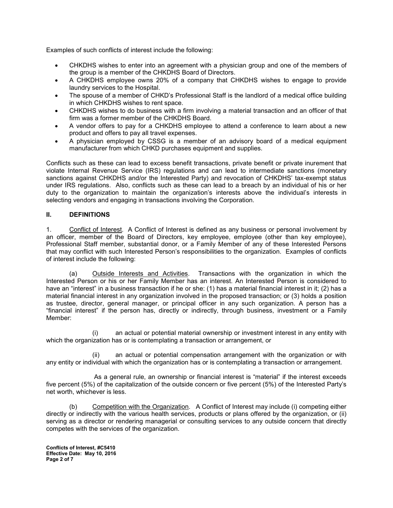Examples of such conflicts of interest include the following:

- CHKDHS wishes to enter into an agreement with a physician group and one of the members of the group is a member of the CHKDHS Board of Directors.
- A CHKDHS employee owns 20% of a company that CHKDHS wishes to engage to provide laundry services to the Hospital.
- The spouse of a member of CHKD's Professional Staff is the landlord of a medical office building in which CHKDHS wishes to rent space.
- CHKDHS wishes to do business with a firm involving a material transaction and an officer of that firm was a former member of the CHKDHS Board.
- A vendor offers to pay for a CHKDHS employee to attend a conference to learn about a new product and offers to pay all travel expenses.
- A physician employed by CSSG is a member of an advisory board of a medical equipment manufacturer from which CHKD purchases equipment and supplies.

Conflicts such as these can lead to excess benefit transactions, private benefit or private inurement that violate Internal Revenue Service (IRS) regulations and can lead to intermediate sanctions (monetary sanctions against CHKDHS and/or the Interested Party) and revocation of CHKDHS' tax-exempt status under IRS regulations. Also, conflicts such as these can lead to a breach by an individual of his or her duty to the organization to maintain the organization's interests above the individual's interests in selecting vendors and engaging in transactions involving the Corporation.

## **II. DEFINITIONS**

1. Conflict of Interest. A Conflict of Interest is defined as any business or personal involvement by an officer, member of the Board of Directors, key employee, employee (other than key employee), Professional Staff member, substantial donor, or a Family Member of any of these Interested Persons that may conflict with such Interested Person's responsibilities to the organization. Examples of conflicts of interest include the following:

(a) Outside Interests and Activities. Transactions with the organization in which the Interested Person or his or her Family Member has an interest. An Interested Person is considered to have an "interest" in a business transaction if he or she: (1) has a material financial interest in it; (2) has a material financial interest in any organization involved in the proposed transaction; or (3) holds a position as trustee, director, general manager, or principal officer in any such organization. A person has a "financial interest" if the person has, directly or indirectly, through business, investment or a Family Member:

(i) an actual or potential material ownership or investment interest in any entity with which the organization has or is contemplating a transaction or arrangement, or

(ii) an actual or potential compensation arrangement with the organization or with any entity or individual with which the organization has or is contemplating a transaction or arrangement.

As a general rule, an ownership or financial interest is "material" if the interest exceeds five percent (5%) of the capitalization of the outside concern or five percent (5%) of the Interested Party's net worth, whichever is less.

(b) Competition with the Organization. A Conflict of Interest may include (i) competing either directly or indirectly with the various health services, products or plans offered by the organization, or (ii) serving as a director or rendering managerial or consulting services to any outside concern that directly competes with the services of the organization.

**Conflicts of Interest, #C5410 Effective Date: May 10, 2016 Page 2 of 7**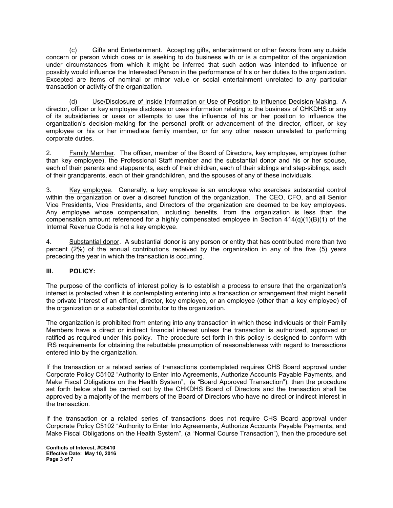(c) Gifts and Entertainment. Accepting gifts, entertainment or other favors from any outside concern or person which does or is seeking to do business with or is a competitor of the organization under circumstances from which it might be inferred that such action was intended to influence or possibly would influence the Interested Person in the performance of his or her duties to the organization. Excepted are items of nominal or minor value or social entertainment unrelated to any particular transaction or activity of the organization.

 (d) Use/Disclosure of Inside Information or Use of Position to Influence Decision-Making. A director, officer or key employee discloses or uses information relating to the business of CHKDHS or any of its subsidiaries or uses or attempts to use the influence of his or her position to influence the organization's decision-making for the personal profit or advancement of the director, officer, or key employee or his or her immediate family member, or for any other reason unrelated to performing corporate duties.

2. Family Member. The officer, member of the Board of Directors, key employee, employee (other than key employee), the Professional Staff member and the substantial donor and his or her spouse, each of their parents and stepparents, each of their children, each of their siblings and step-siblings, each of their grandparents, each of their grandchildren, and the spouses of any of these individuals.

3. Key employee. Generally, a key employee is an employee who exercises substantial control within the organization or over a discreet function of the organization. The CEO, CFO, and all Senior Vice Presidents, Vice Presidents, and Directors of the organization are deemed to be key employees. Any employee whose compensation, including benefits, from the organization is less than the compensation amount referenced for a highly compensated employee in Section  $414(q)(1)(B)(1)$  of the Internal Revenue Code is not a key employee.

4. Substantial donor. A substantial donor is any person or entity that has contributed more than two percent (2%) of the annual contributions received by the organization in any of the five (5) years preceding the year in which the transaction is occurring.

## **III. POLICY:**

The purpose of the conflicts of interest policy is to establish a process to ensure that the organization's interest is protected when it is contemplating entering into a transaction or arrangement that might benefit the private interest of an officer, director, key employee, or an employee (other than a key employee) of the organization or a substantial contributor to the organization.

The organization is prohibited from entering into any transaction in which these individuals or their Family Members have a direct or indirect financial interest unless the transaction is authorized, approved or ratified as required under this policy. The procedure set forth in this policy is designed to conform with IRS requirements for obtaining the rebuttable presumption of reasonableness with regard to transactions entered into by the organization.

If the transaction or a related series of transactions contemplated requires CHS Board approval under Corporate Policy C5102 "Authority to Enter Into Agreements, Authorize Accounts Payable Payments, and Make Fiscal Obligations on the Health System", (a "Board Approved Transaction"), then the procedure set forth below shall be carried out by the CHKDHS Board of Directors and the transaction shall be approved by a majority of the members of the Board of Directors who have no direct or indirect interest in the transaction.

If the transaction or a related series of transactions does not require CHS Board approval under Corporate Policy C5102 "Authority to Enter Into Agreements, Authorize Accounts Payable Payments, and Make Fiscal Obligations on the Health System", (a "Normal Course Transaction"), then the procedure set

**Conflicts of Interest, #C5410 Effective Date: May 10, 2016 Page 3 of 7**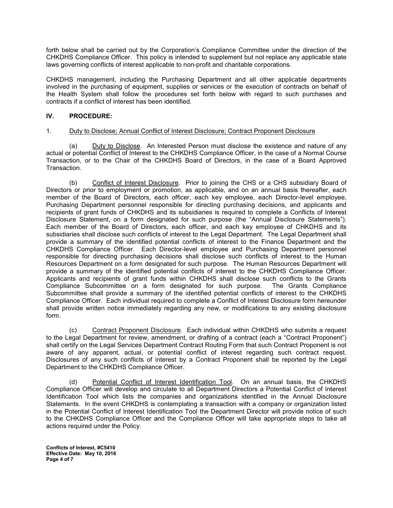forth below shall be carried out by the Corporation's Compliance Committee under the direction of the CHKDHS Compliance Officer. This policy is intended to supplement but not replace any applicable state laws governing conflicts of interest applicable to non-profit and charitable corporations.

CHKDHS management, including the Purchasing Department and all other applicable departments involved in the purchasing of equipment, supplies or services or the execution of contracts on behalf of the Health System shall follow the procedures set forth below with regard to such purchases and contracts if a conflict of interest has been identified.

# **IV. PROCEDURE:**

## 1. Duty to Disclose; Annual Conflict of Interest Disclosure; Contract Proponent Disclosure

 (a) Duty to Disclose. An Interested Person must disclose the existence and nature of any actual or potential Conflict of Interest to the CHKDHS Compliance Officer, in the case of a Normal Course Transaction, or to the Chair of the CHKDHS Board of Directors, in the case of a Board Approved Transaction.

 (b) Conflict of Interest Disclosure. Prior to joining the CHS or a CHS subsidiary Board of Directors or prior to employment or promotion, as applicable, and on an annual basis thereafter, each member of the Board of Directors, each officer, each key employee, each Director-level employee, Purchasing Department personnel responsible for directing purchasing decisions, and applicants and recipients of grant funds of CHKDHS and its subsidiaries is required to complete a Conflicts of Interest Disclosure Statement, on a form designated for such purpose (the "Annual Disclosure Statements"). Each member of the Board of Directors, each officer, and each key employee of CHKDHS and its subsidiaries shall disclose such conflicts of interest to the Legal Department. The Legal Department shall provide a summary of the identified potential conflicts of interest to the Finance Department and the CHKDHS Compliance Officer. Each Director-level employee and Purchasing Department personnel responsible for directing purchasing decisions shall disclose such conflicts of interest to the Human Resources Department on a form designated for such purpose. The Human Resources Department will provide a summary of the identified potential conflicts of interest to the CHKDHS Compliance Officer. Applicants and recipients of grant funds within CHKDHS shall disclose such conflicts to the Grants Compliance Subcommittee on a form designated for such purpose. The Grants Compliance Subcommittee shall provide a summary of the identified potential conflicts of interest to the CHKDHS Compliance Officer. Each individual required to complete a Conflict of Interest Disclosure form hereunder shall provide written notice immediately regarding any new, or modifications to any existing disclosure form.

 (c) Contract Proponent Disclosure. Each individual within CHKDHS who submits a request to the Legal Department for review, amendment, or drafting of a contract (each a "Contract Proponent") shall certify on the Legal Services Department Contract Routing Form that such Contract Proponent is not aware of any apparent, actual, or potential conflict of interest regarding such contract request. Disclosures of any such conflicts of interest by a Contract Proponent shall be reported by the Legal Department to the CHKDHS Compliance Officer.

 (d) Potential Conflict of Interest Identification Tool. On an annual basis, the CHKDHS Compliance Officer will develop and circulate to all Department Directors a Potential Conflict of Interest Identification Tool which lists the companies and organizations identified in the Annual Disclosure Statements. In the event CHKDHS is contemplating a transaction with a company or organization listed in the Potential Conflict of Interest Identification Tool the Department Director will provide notice of such to the CHKDHS Compliance Officer and the Compliance Officer will take appropriate steps to take all actions required under the Policy.

**Conflicts of Interest, #C5410 Effective Date: May 10, 2016 Page 4 of 7**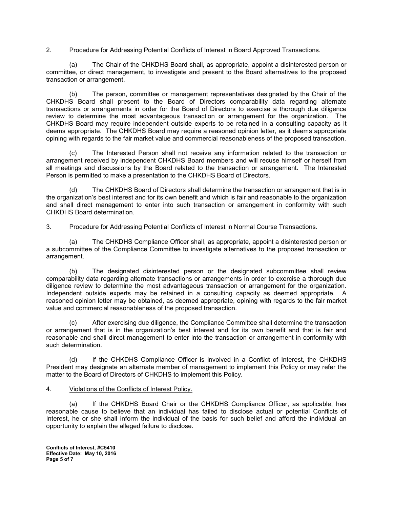## 2. Procedure for Addressing Potential Conflicts of Interest in Board Approved Transactions.

 (a) The Chair of the CHKDHS Board shall, as appropriate, appoint a disinterested person or committee, or direct management, to investigate and present to the Board alternatives to the proposed transaction or arrangement.

 (b) The person, committee or management representatives designated by the Chair of the CHKDHS Board shall present to the Board of Directors comparability data regarding alternate transactions or arrangements in order for the Board of Directors to exercise a thorough due diligence review to determine the most advantageous transaction or arrangement for the organization. The CHKDHS Board may require independent outside experts to be retained in a consulting capacity as it deems appropriate. The CHKDHS Board may require a reasoned opinion letter, as it deems appropriate opining with regards to the fair market value and commercial reasonableness of the proposed transaction.

 (c) The Interested Person shall not receive any information related to the transaction or arrangement received by independent CHKDHS Board members and will recuse himself or herself from all meetings and discussions by the Board related to the transaction or arrangement. The Interested Person is permitted to make a presentation to the CHKDHS Board of Directors.

 (d) The CHKDHS Board of Directors shall determine the transaction or arrangement that is in the organization's best interest and for its own benefit and which is fair and reasonable to the organization and shall direct management to enter into such transaction or arrangement in conformity with such CHKDHS Board determination.

#### 3. Procedure for Addressing Potential Conflicts of Interest in Normal Course Transactions.

 (a) The CHKDHS Compliance Officer shall, as appropriate, appoint a disinterested person or a subcommittee of the Compliance Committee to investigate alternatives to the proposed transaction or arrangement.

 (b) The designated disinterested person or the designated subcommittee shall review comparability data regarding alternate transactions or arrangements in order to exercise a thorough due diligence review to determine the most advantageous transaction or arrangement for the organization. Independent outside experts may be retained in a consulting capacity as deemed appropriate. A reasoned opinion letter may be obtained, as deemed appropriate, opining with regards to the fair market value and commercial reasonableness of the proposed transaction.

After exercising due diligence, the Compliance Committee shall determine the transaction or arrangement that is in the organization's best interest and for its own benefit and that is fair and reasonable and shall direct management to enter into the transaction or arrangement in conformity with such determination.

 (d) If the CHKDHS Compliance Officer is involved in a Conflict of Interest, the CHKDHS President may designate an alternate member of management to implement this Policy or may refer the matter to the Board of Directors of CHKDHS to implement this Policy.

#### 4. Violations of the Conflicts of Interest Policy.

(a) If the CHKDHS Board Chair or the CHKDHS Compliance Officer, as applicable, has reasonable cause to believe that an individual has failed to disclose actual or potential Conflicts of Interest, he or she shall inform the individual of the basis for such belief and afford the individual an opportunity to explain the alleged failure to disclose.

**Conflicts of Interest, #C5410 Effective Date: May 10, 2016 Page 5 of 7**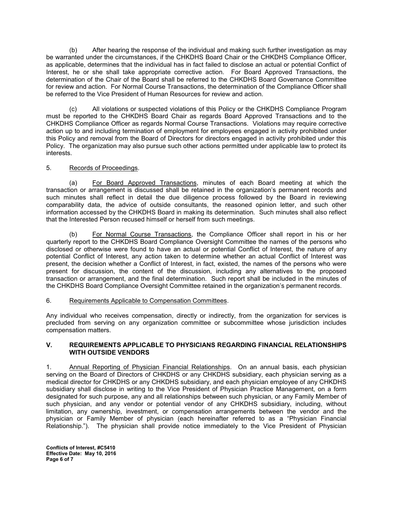(b) After hearing the response of the individual and making such further investigation as may be warranted under the circumstances, if the CHKDHS Board Chair or the CHKDHS Compliance Officer, as applicable, determines that the individual has in fact failed to disclose an actual or potential Conflict of Interest, he or she shall take appropriate corrective action. For Board Approved Transactions, the determination of the Chair of the Board shall be referred to the CHKDHS Board Governance Committee for review and action. For Normal Course Transactions, the determination of the Compliance Officer shall be referred to the Vice President of Human Resources for review and action.

 (c) All violations or suspected violations of this Policy or the CHKDHS Compliance Program must be reported to the CHKDHS Board Chair as regards Board Approved Transactions and to the CHKDHS Compliance Officer as regards Normal Course Transactions. Violations may require corrective action up to and including termination of employment for employees engaged in activity prohibited under this Policy and removal from the Board of Directors for directors engaged in activity prohibited under this Policy. The organization may also pursue such other actions permitted under applicable law to protect its interests.

## 5. Records of Proceedings.

 (a) For Board Approved Transactions, minutes of each Board meeting at which the transaction or arrangement is discussed shall be retained in the organization's permanent records and such minutes shall reflect in detail the due diligence process followed by the Board in reviewing comparability data, the advice of outside consultants, the reasoned opinion letter, and such other information accessed by the CHKDHS Board in making its determination. Such minutes shall also reflect that the Interested Person recused himself or herself from such meetings.

 (b) For Normal Course Transactions, the Compliance Officer shall report in his or her quarterly report to the CHKDHS Board Compliance Oversight Committee the names of the persons who disclosed or otherwise were found to have an actual or potential Conflict of Interest, the nature of any potential Conflict of Interest, any action taken to determine whether an actual Conflict of Interest was present, the decision whether a Conflict of Interest, in fact, existed, the names of the persons who were present for discussion, the content of the discussion, including any alternatives to the proposed transaction or arrangement, and the final determination. Such report shall be included in the minutes of the CHKDHS Board Compliance Oversight Committee retained in the organization's permanent records.

#### 6. Requirements Applicable to Compensation Committees.

Any individual who receives compensation, directly or indirectly, from the organization for services is precluded from serving on any organization committee or subcommittee whose jurisdiction includes compensation matters.

#### **V. REQUIREMENTS APPLICABLE TO PHYSICIANS REGARDING FINANCIAL RELATIONSHIPS WITH OUTSIDE VENDORS**

1. Annual Reporting of Physician Financial Relationships. On an annual basis, each physician serving on the Board of Directors of CHKDHS or any CHKDHS subsidiary, each physician serving as a medical director for CHKDHS or any CHKDHS subsidiary, and each physician employee of any CHKDHS subsidiary shall disclose in writing to the Vice President of Physician Practice Management, on a form designated for such purpose, any and all relationships between such physician, or any Family Member of such physician, and any vendor or potential vendor of any CHKDHS subsidiary, including, without limitation, any ownership, investment, or compensation arrangements between the vendor and the physician or Family Member of physician (each hereinafter referred to as a "Physician Financial Relationship."). The physician shall provide notice immediately to the Vice President of Physician